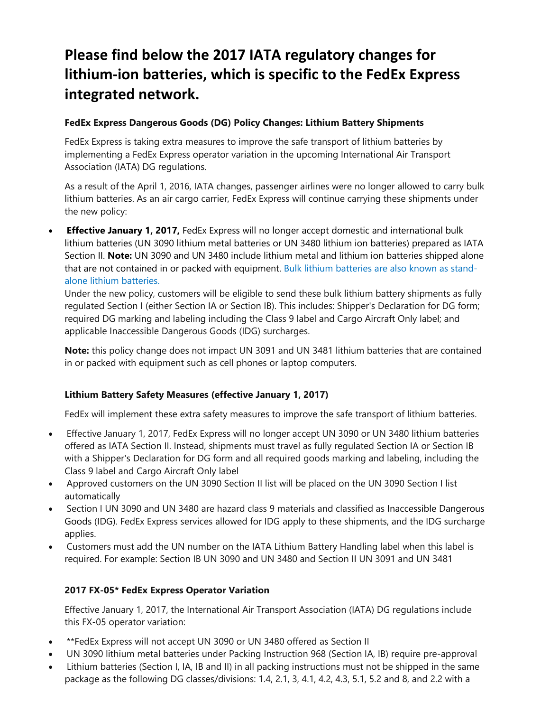# **Please find below the 2017 IATA regulatory changes for lithium‐ion batteries, which is specific to the FedEx Express integrated network.**

#### **FedEx Express Dangerous Goods (DG) Policy Changes: Lithium Battery Shipments**

FedEx Express is taking extra measures to improve the safe transport of lithium batteries by implementing a FedEx Express operator variation in the upcoming International Air Transport Association (IATA) DG regulations.

As a result of the April 1, 2016, IATA changes, passenger airlines were no longer allowed to carry bulk lithium batteries. As an air cargo carrier, FedEx Express will continue carrying these shipments under the new policy:

 **Effective January 1, 2017,** FedEx Express will no longer accept domestic and international bulk lithium batteries (UN 3090 lithium metal batteries or UN 3480 lithium ion batteries) prepared as IATA Section II. **Note:** UN 3090 and UN 3480 include lithium metal and lithium ion batteries shipped alone that are not contained in or packed with equipment. Bulk lithium batteries are also known as standalone lithium batteries.

Under the new policy, customers will be eligible to send these bulk lithium battery shipments as fully regulated Section I (either Section IA or Section IB). This includes: Shipper's Declaration for DG form; required DG marking and labeling including the Class 9 label and Cargo Aircraft Only label; and applicable Inaccessible Dangerous Goods (IDG) surcharges.

**Note:** this policy change does not impact UN 3091 and UN 3481 lithium batteries that are contained in or packed with equipment such as cell phones or laptop computers.

#### **Lithium Battery Safety Measures (effective January 1, 2017)**

FedEx will implement these extra safety measures to improve the safe transport of lithium batteries.

- Effective January 1, 2017, FedEx Express will no longer accept UN 3090 or UN 3480 lithium batteries offered as IATA Section II. Instead, shipments must travel as fully regulated Section IA or Section IB with a Shipper's Declaration for DG form and all required goods marking and labeling, including the Class 9 label and Cargo Aircraft Only label
- Approved customers on the UN 3090 Section II list will be placed on the UN 3090 Section I list automatically
- Section I UN 3090 and UN 3480 are hazard class 9 materials and classified as Inaccessible Dangerous Goods (IDG). FedEx Express services allowed for IDG apply to these shipments, and the IDG surcharge applies.
- Customers must add the UN number on the IATA Lithium Battery Handling label when this label is required. For example: Section IB UN 3090 and UN 3480 and Section II UN 3091 and UN 3481

#### **2017 FX-05\* FedEx Express Operator Variation**

Effective January 1, 2017, the International Air Transport Association (IATA) DG regulations include this FX-05 operator variation:

- \*\*FedEx Express will not accept UN 3090 or UN 3480 offered as Section II
- UN 3090 lithium metal batteries under Packing Instruction 968 (Section IA, IB) require pre-approval
- Lithium batteries (Section I, IA, IB and II) in all packing instructions must not be shipped in the same package as the following DG classes/divisions: 1.4, 2.1, 3, 4.1, 4.2, 4.3, 5.1, 5.2 and 8, and 2.2 with a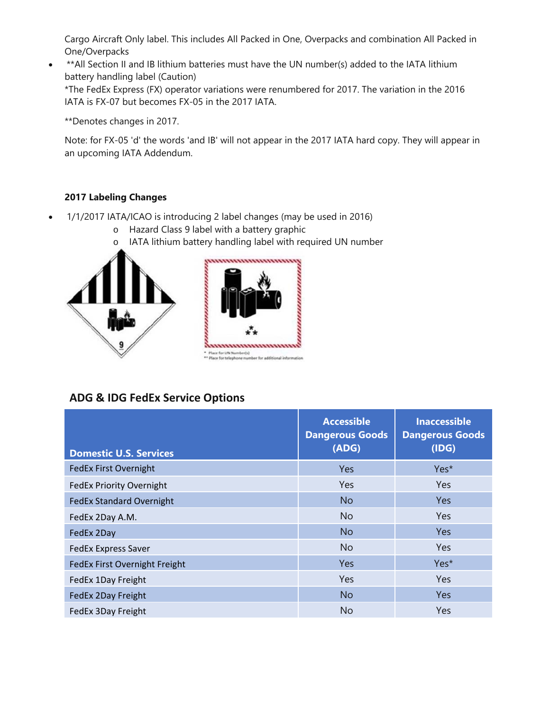Cargo Aircraft Only label. This includes All Packed in One, Overpacks and combination All Packed in One/Overpacks

\*\*All Section II and IB lithium batteries must have the UN number(s) added to the IATA lithium battery handling label (Caution) \*The FedEx Express (FX) operator variations were renumbered for 2017. The variation in the 2016 IATA is FX-07 but becomes FX-05 in the 2017 IATA.

\*\*Denotes changes in 2017.

Note: for FX-05 'd' the words 'and IB' will not appear in the 2017 IATA hard copy. They will appear in an upcoming IATA Addendum.

### **2017 Labeling Changes**

- 1/1/2017 IATA/ICAO is introducing 2 label changes (may be used in 2016)
	- o Hazard Class 9 label with a battery graphic
	- o IATA lithium battery handling label with required UN number





## **ADG & IDG FedEx Service Options**

| <b>Domestic U.S. Services</b>   | <b>Accessible</b><br><b>Dangerous Goods</b><br>(ADG) | <b>Inaccessible</b><br><b>Dangerous Goods</b><br>(IDG) |
|---------------------------------|------------------------------------------------------|--------------------------------------------------------|
| <b>FedEx First Overnight</b>    | <b>Yes</b>                                           | Yes*                                                   |
| <b>FedEx Priority Overnight</b> | Yes                                                  | <b>Yes</b>                                             |
| <b>FedEx Standard Overnight</b> | <b>No</b>                                            | <b>Yes</b>                                             |
| FedEx 2Day A.M.                 | N <sub>o</sub>                                       | <b>Yes</b>                                             |
| FedEx 2Day                      | <b>No</b>                                            | <b>Yes</b>                                             |
| <b>FedEx Express Saver</b>      | <b>No</b>                                            | <b>Yes</b>                                             |
| FedEx First Overnight Freight   | Yes                                                  | Yes*                                                   |
| FedEx 1Day Freight              | Yes                                                  | <b>Yes</b>                                             |
| FedEx 2Day Freight              | <b>No</b>                                            | <b>Yes</b>                                             |
| FedEx 3Day Freight              | No.                                                  | <b>Yes</b>                                             |